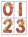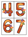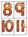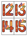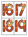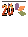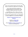This is a set of large numbers 0-20 with a FALL theme. 4 numbers to a page. Print on cardstock.

Use to make fall themed matching and recognition games for early learners. Large enough for bulletin board and room décor.

I add FREE items often. Follow on TpT and Pinterest to get them as soon as they are listed.

If this activity download meets your expectations, I would be delighted if you would leave feedback.

> [KidSparkz TeachersPayTeachers store](https://www.teacherspayteachers.com/Store/Kidsparkz)  [Pinterest](https://www.pinterest.com/kidsparkz/boards/)

> > Graphics by [Whimsy Clips](https://www.teacherspayteachers.com/Store/Whimsy-Clips) Resource by [KidSparkz](http://www.kidsparkz.com/)

More [NUMBERS activities and printables](https://www.teacherspayteachers.com/Store/Kidsparkz/Category/Numbers-and-Logic-82057) for preschool and Kindergarten.